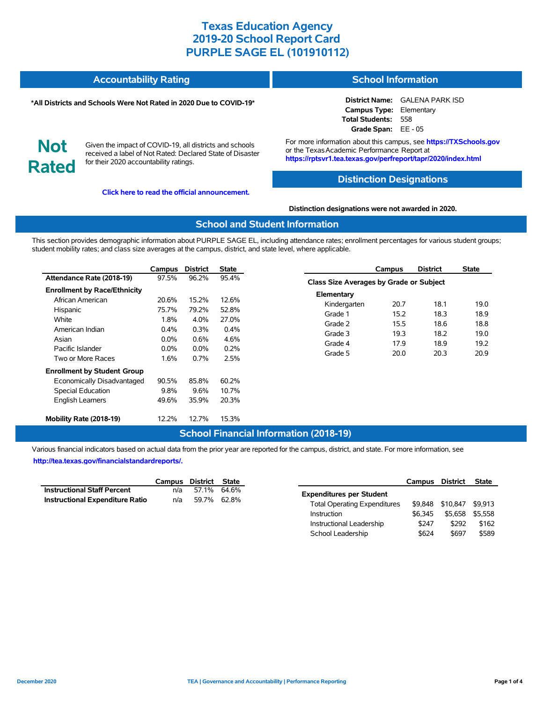#### **Accountability Rating School Information**

#### **\*All Districts and Schools Were Not Rated in 2020 Due to COVID-19\***

**District Name:** GALENA PARK ISD **Campus Type:** Elementary **Total Students:** 558 **Grade Span:** EE - 05

**Not Rated**

Given the impact of COVID-19, all districts and schools received a label of Not Rated: Declared State of Disaster for their 2020 accountability ratings.

**[Click here to read the official announcement.](https://tea.texas.gov/about-tea/news-and-multimedia/correspondence/taa-letters/every-student-succeeds-act-essa-waiver-approval-2020-state-academic-accountability)**

For more information about this campus, see **https://TXSchools.gov** or the Texas Academic Performance Report at **https://rptsvr1.tea.texas.gov/perfreport/tapr/2020/index.html**

### **Distinction Designations**

**Distinction designations were not awarded in 2020.**

#### **School and Student Information**

This section provides demographic information about PURPLE SAGE EL, including attendance rates; enrollment percentages for various student groups; student mobility rates; and class size averages at the campus, district, and state level, where applicable.

|                                     | Campus  | <b>District</b> | State   |
|-------------------------------------|---------|-----------------|---------|
| Attendance Rate (2018-19)           | 97.5%   | 96.2%           | 95.4%   |
| <b>Enrollment by Race/Ethnicity</b> |         |                 |         |
| African American                    | 20.6%   | 15.2%           | 12.6%   |
| Hispanic                            | 75.7%   | 79.2%           | 52.8%   |
| White                               | 1.8%    | $4.0\%$         | 27.0%   |
| American Indian                     | $0.4\%$ | $0.3\%$         | $0.4\%$ |
| Asian                               | $0.0\%$ | 0.6%            | 4.6%    |
| Pacific Islander                    | $0.0\%$ | $0.0\%$         | $0.2\%$ |
| Two or More Races                   | 1.6%    | 0.7%            | 2.5%    |
| <b>Enrollment by Student Group</b>  |         |                 |         |
| Economically Disadvantaged          | 90.5%   | 85.8%           | 60.2%   |
| <b>Special Education</b>            | 9.8%    | 9.6%            | 10.7%   |
| <b>English Learners</b>             | 49.6%   | 35.9%           | 20.3%   |
| Mobility Rate (2018-19)             | 12.2%   | 12.7%           | 15.3%   |

|                                                | Campus | <b>District</b> | State |  |  |  |  |  |  |
|------------------------------------------------|--------|-----------------|-------|--|--|--|--|--|--|
| <b>Class Size Averages by Grade or Subject</b> |        |                 |       |  |  |  |  |  |  |
| Elementary                                     |        |                 |       |  |  |  |  |  |  |
| Kindergarten                                   | 20.7   | 18.1            | 19.0  |  |  |  |  |  |  |
| Grade 1                                        | 15.2   | 18.3            | 18.9  |  |  |  |  |  |  |
| Grade 2                                        | 15.5   | 18.6            | 18.8  |  |  |  |  |  |  |
| Grade 3                                        | 19.3   | 18.2            | 19.0  |  |  |  |  |  |  |
| Grade 4                                        | 17.9   | 18.9            | 19.2  |  |  |  |  |  |  |
| Grade 5                                        | 20.0   | 20.3            | 20.9  |  |  |  |  |  |  |

### **School Financial Information (2018-19)**

Various financial indicators based on actual data from the prior year are reported for the campus, district, and state. For more information, see **[http://tea.texas.gov/financialstandardreports/.](http://tea.texas.gov/financialstandardreports/)**

|                                        | Campus District State |             |  |
|----------------------------------------|-----------------------|-------------|--|
| <b>Instructional Staff Percent</b>     | n/a                   | 57.1% 64.6% |  |
| <b>Instructional Expenditure Ratio</b> | n/a                   | 59.7% 62.8% |  |

|                                     | Campus District |          | <b>State</b> |
|-------------------------------------|-----------------|----------|--------------|
| <b>Expenditures per Student</b>     |                 |          |              |
| <b>Total Operating Expenditures</b> | \$9.848         | \$10,847 | \$9.913      |
| Instruction                         | \$6,345         | \$5.658  | \$5.558      |
| Instructional Leadership            | \$247           | \$292    | \$162        |
| School Leadership                   | \$624           | \$697    | \$589        |

Ĭ.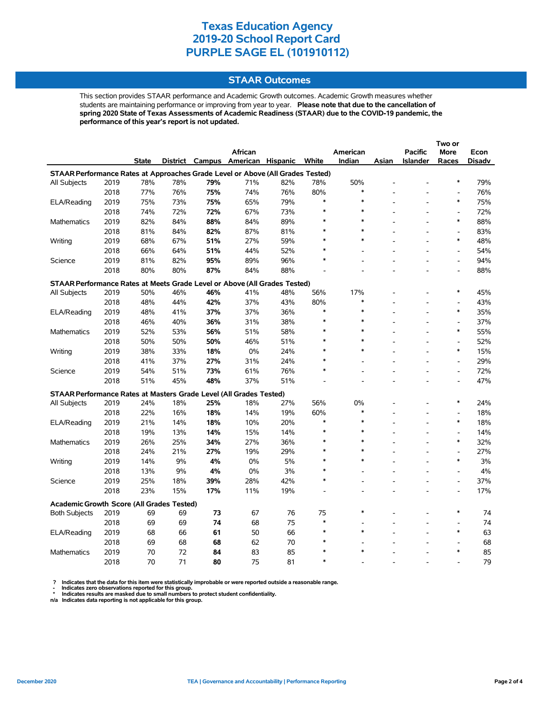### **STAAR Outcomes**

This section provides STAAR performance and Academic Growth outcomes. Academic Growth measures whether students are maintaining performance or improving from year to year. **Please note that due to the cancellation of spring 2020 State of Texas Assessments of Academic Readiness (STAAR) due to the COVID-19 pandemic, the performance of this year's report is not updated.**

|                                                                                |      |              |     |     |                                   |     |         |          |       |                | Two or                       |        |
|--------------------------------------------------------------------------------|------|--------------|-----|-----|-----------------------------------|-----|---------|----------|-------|----------------|------------------------------|--------|
|                                                                                |      |              |     |     | <b>African</b>                    |     |         | American |       | <b>Pacific</b> | <b>More</b>                  | Econ   |
|                                                                                |      | <b>State</b> |     |     | District Campus American Hispanic |     | White   | Indian   | Asian | Islander       | Races                        | Disadv |
| STAAR Performance Rates at Approaches Grade Level or Above (All Grades Tested) |      |              |     |     |                                   |     |         |          |       |                |                              |        |
| All Subjects                                                                   | 2019 | 78%          | 78% | 79% | 71%                               | 82% | 78%     | 50%      |       |                | $\ast$                       | 79%    |
|                                                                                | 2018 | 77%          | 76% | 75% | 74%                               | 76% | 80%     | $\ast$   |       |                | $\overline{\phantom{a}}$     | 76%    |
| ELA/Reading                                                                    | 2019 | 75%          | 73% | 75% | 65%                               | 79% | $\ast$  | $\ast$   |       |                | $\ast$                       | 75%    |
|                                                                                | 2018 | 74%          | 72% | 72% | 67%                               | 73% | $\ast$  | $\ast$   |       |                | $\overline{a}$               | 72%    |
| <b>Mathematics</b>                                                             | 2019 | 82%          | 84% | 88% | 84%                               | 89% |         | $\ast$   |       |                | $\ast$                       | 88%    |
|                                                                                | 2018 | 81%          | 84% | 82% | 87%                               | 81% |         | $\ast$   |       |                | $\overline{a}$               | 83%    |
| Writing                                                                        | 2019 | 68%          | 67% | 51% | 27%                               | 59% |         | $\ast$   |       |                | $\ast$                       | 48%    |
|                                                                                | 2018 | 66%          | 64% | 51% | 44%                               | 52% | $\star$ |          |       |                | L,                           | 54%    |
| Science                                                                        | 2019 | 81%          | 82% | 95% | 89%                               | 96% |         |          |       |                | $\qquad \qquad \blacksquare$ | 94%    |
|                                                                                | 2018 | 80%          | 80% | 87% | 84%                               | 88% |         |          |       |                |                              | 88%    |
| STAAR Performance Rates at Meets Grade Level or Above (All Grades Tested)      |      |              |     |     |                                   |     |         |          |       |                |                              |        |
| All Subjects                                                                   | 2019 | 50%          | 46% | 46% | 41%                               | 48% | 56%     | 17%      |       |                | $\ast$                       | 45%    |
|                                                                                | 2018 | 48%          | 44% | 42% | 37%                               | 43% | 80%     | $\ast$   |       |                | $\overline{a}$               | 43%    |
| ELA/Reading                                                                    | 2019 | 48%          | 41% | 37% | 37%                               | 36% | $\ast$  | $\ast$   |       |                | $\ast$                       | 35%    |
|                                                                                | 2018 | 46%          | 40% | 36% | 31%                               | 38% |         | $\ast$   |       |                | L,                           | 37%    |
| Mathematics                                                                    | 2019 | 52%          | 53% | 56% | 51%                               | 58% |         | $\ast$   |       |                | $\ast$                       | 55%    |
|                                                                                | 2018 | 50%          | 50% | 50% | 46%                               | 51% |         | $\ast$   |       |                | $\overline{\phantom{a}}$     | 52%    |
| Writing                                                                        | 2019 | 38%          | 33% | 18% | 0%                                | 24% |         | $\ast$   |       |                | $\ast$                       | 15%    |
|                                                                                | 2018 | 41%          | 37% | 27% | 31%                               | 24% |         |          |       |                | $\overline{a}$               | 29%    |
| Science                                                                        | 2019 | 54%          | 51% | 73% | 61%                               | 76% | $\ast$  |          |       |                | $\overline{a}$               | 72%    |
|                                                                                | 2018 | 51%          | 45% | 48% | 37%                               | 51% |         |          |       |                | $\overline{a}$               | 47%    |
| STAAR Performance Rates at Masters Grade Level (All Grades Tested)             |      |              |     |     |                                   |     |         |          |       |                |                              |        |
| All Subjects                                                                   | 2019 | 24%          | 18% | 25% | 18%                               | 27% | 56%     | 0%       |       |                | $\ast$                       | 24%    |
|                                                                                | 2018 | 22%          | 16% | 18% | 14%                               | 19% | 60%     | $\ast$   |       |                | $\overline{a}$               | 18%    |
| ELA/Reading                                                                    | 2019 | 21%          | 14% | 18% | 10%                               | 20% | $\ast$  | $\ast$   |       |                | $\ast$                       | 18%    |
|                                                                                | 2018 | 19%          | 13% | 14% | 15%                               | 14% | $\ast$  | $\ast$   |       |                | $\overline{a}$               | 14%    |
| Mathematics                                                                    | 2019 | 26%          | 25% | 34% | 27%                               | 36% |         | $\ast$   |       |                | $\ast$                       | 32%    |
|                                                                                | 2018 | 24%          | 21% | 27% | 19%                               | 29% |         | $\ast$   |       |                | $\qquad \qquad \blacksquare$ | 27%    |
| Writing                                                                        | 2019 | 14%          | 9%  | 4%  | 0%                                | 5%  |         | $\ast$   |       |                | $\ast$                       | 3%     |
|                                                                                | 2018 | 13%          | 9%  | 4%  | 0%                                | 3%  |         |          |       |                | $\overline{a}$               | 4%     |
| Science                                                                        | 2019 | 25%          | 18% | 39% | 28%                               | 42% | $\ast$  |          |       |                | $\overline{a}$               | 37%    |
|                                                                                | 2018 | 23%          | 15% | 17% | 11%                               | 19% |         |          |       |                | $\overline{a}$               | 17%    |
|                                                                                |      |              |     |     |                                   |     |         |          |       |                |                              |        |
| <b>Academic Growth Score (All Grades Tested)</b><br><b>Both Subjects</b>       | 2019 | 69           | 69  | 73  | 67                                | 76  | 75      | $\ast$   |       |                | *                            | 74     |
|                                                                                | 2018 | 69           | 69  | 74  | 68                                | 75  | $\ast$  |          |       |                |                              | 74     |
| ELA/Reading                                                                    | 2019 | 68           | 66  | 61  | 50                                | 66  | $\ast$  | $\ast$   |       |                | $\ast$                       | 63     |
|                                                                                | 2018 | 69           | 68  | 68  | 62                                | 70  |         |          |       |                |                              | 68     |
| <b>Mathematics</b>                                                             | 2019 | 70           | 72  | 84  | 83                                | 85  |         | $\ast$   |       |                | $\ast$                       | 85     |
|                                                                                |      | 70           | 71  | 80  | 75                                | 81  |         |          |       |                |                              |        |
|                                                                                | 2018 |              |     |     |                                   |     |         |          |       |                |                              | 79     |

? Indicates that the data for this item were statistically improbable or were reported outside a reasonable range.<br>- Indicates zero observations reported for this group.<br>\* Indicates results are masked due to small numbers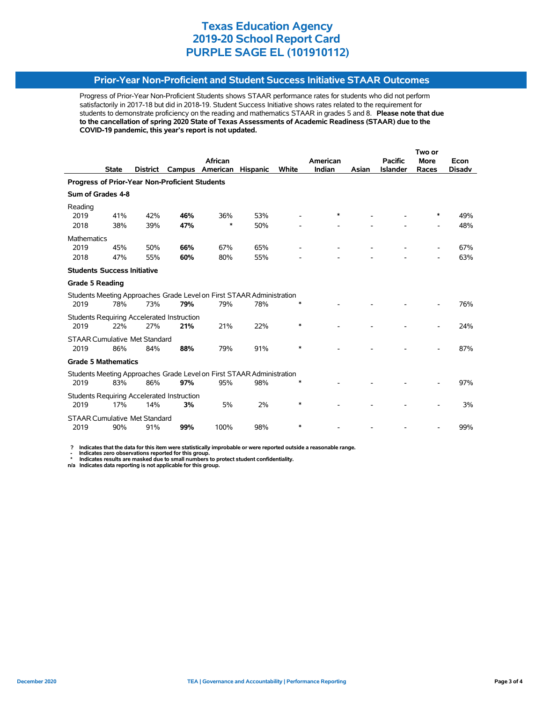### **Prior-Year Non-Proficient and Student Success Initiative STAAR Outcomes**

Progress of Prior-Year Non-Proficient Students shows STAAR performance rates for students who did not perform satisfactorily in 2017-18 but did in 2018-19. Student Success Initiative shows rates related to the requirement for students to demonstrate proficiency on the reading and mathematics STAAR in grades 5 and 8. **Please note that due to the cancellation of spring 2020 State of Texas Assessments of Academic Readiness (STAAR) due to the COVID-19 pandemic, this year's report is not updated.**

|                                                |              |                 |                                                   |                                                                       |                 |        |          |       |                 | Two or      |               |
|------------------------------------------------|--------------|-----------------|---------------------------------------------------|-----------------------------------------------------------------------|-----------------|--------|----------|-------|-----------------|-------------|---------------|
|                                                |              |                 |                                                   | <b>African</b>                                                        |                 |        | American |       | <b>Pacific</b>  | <b>More</b> | Econ          |
|                                                | <b>State</b> | <b>District</b> | Campus                                            | American                                                              | <b>Hispanic</b> | White  | Indian   | Asian | <b>Islander</b> | Races       | <b>Disady</b> |
| Progress of Prior-Year Non-Proficient Students |              |                 |                                                   |                                                                       |                 |        |          |       |                 |             |               |
| Sum of Grades 4-8                              |              |                 |                                                   |                                                                       |                 |        |          |       |                 |             |               |
| Reading                                        |              |                 |                                                   |                                                                       |                 |        |          |       |                 |             |               |
| 2019                                           | 41%          | 42%             | 46%                                               | 36%                                                                   | 53%             |        | *        |       |                 | ∗           | 49%           |
| 2018                                           | 38%          | 39%             | 47%                                               | *                                                                     | 50%             |        |          |       |                 |             | 48%           |
| <b>Mathematics</b>                             |              |                 |                                                   |                                                                       |                 |        |          |       |                 |             |               |
| 2019                                           | 45%          | 50%             | 66%                                               | 67%                                                                   | 65%             |        |          |       |                 |             | 67%           |
| 2018                                           | 47%          | 55%             | 60%                                               | 80%                                                                   | 55%             |        |          |       |                 |             | 63%           |
| <b>Students Success Initiative</b>             |              |                 |                                                   |                                                                       |                 |        |          |       |                 |             |               |
| <b>Grade 5 Reading</b>                         |              |                 |                                                   |                                                                       |                 |        |          |       |                 |             |               |
|                                                |              |                 |                                                   | Students Meeting Approaches Grade Level on First STAAR Administration |                 |        |          |       |                 |             |               |
| 2019                                           | 78%          | 73%             | 79%                                               | 79%                                                                   | 78%             | ∗      |          |       |                 |             | 76%           |
|                                                |              |                 | <b>Students Requiring Accelerated Instruction</b> |                                                                       |                 |        |          |       |                 |             |               |
| 2019                                           | 22%          | 27%             | 21%                                               | 21%                                                                   | 22%             | $\ast$ |          |       |                 |             | 24%           |
| <b>STAAR Cumulative Met Standard</b>           |              |                 |                                                   |                                                                       |                 |        |          |       |                 |             |               |
| 2019                                           | 86%          | 84%             | 88%                                               | 79%                                                                   | 91%             | ∗      |          |       |                 |             | 87%           |
| <b>Grade 5 Mathematics</b>                     |              |                 |                                                   |                                                                       |                 |        |          |       |                 |             |               |
|                                                |              |                 |                                                   | Students Meeting Approaches Grade Level on First STAAR Administration |                 |        |          |       |                 |             |               |
| 2019                                           | 83%          | 86%             | 97%                                               | 95%                                                                   | 98%             | $\ast$ |          |       |                 |             | 97%           |
|                                                |              |                 | <b>Students Requiring Accelerated Instruction</b> |                                                                       |                 |        |          |       |                 |             |               |
| 2019                                           | 17%          | 14%             | 3%                                                | 5%                                                                    | 2%              | $\ast$ |          |       |                 |             | 3%            |
| <b>STAAR Cumulative Met Standard</b>           |              |                 |                                                   |                                                                       |                 |        |          |       |                 |             |               |
| 2019                                           | 90%          | 91%             | 99%                                               | 100%                                                                  | 98%             | $\ast$ |          |       |                 |             | 99%           |

 **? Indicates that the data for this item were statistically improbable or were reported outside a reasonable range.**

 **- Indicates zero observations reported for this group. \* Indicates results are masked due to small numbers to protect student confidentiality.**

**n/a Indicates data reporting is not applicable for this group.**